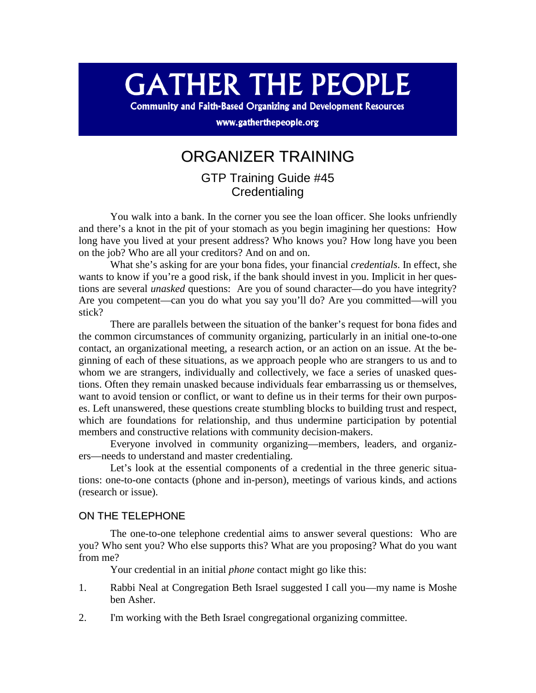# **GATHER THE PEOPLE**

**Community and Faith-Based Organizing and Development Resources** 

www.gatherthepeople.org

## ORGANIZER TRAINING

GTP Training Guide #45 **Credentialing** 

You walk into a bank. In the corner you see the loan officer. She looks unfriendly and there's a knot in the pit of your stomach as you begin imagining her questions: How long have you lived at your present address? Who knows you? How long have you been on the job? Who are all your creditors? And on and on.

What she's asking for are your bona fides, your financial *credentials*. In effect, she wants to know if you're a good risk, if the bank should invest in you. Implicit in her questions are several *unasked* questions: Are you of sound character—do you have integrity? Are you competent—can you do what you say you'll do? Are you committed—will you stick?

There are parallels between the situation of the banker's request for bona fides and the common circumstances of community organizing, particularly in an initial one-to-one contact, an organizational meeting, a research action, or an action on an issue. At the beginning of each of these situations, as we approach people who are strangers to us and to whom we are strangers, individually and collectively, we face a series of unasked questions. Often they remain unasked because individuals fear embarrassing us or themselves, want to avoid tension or conflict, or want to define us in their terms for their own purposes. Left unanswered, these questions create stumbling blocks to building trust and respect, which are foundations for relationship, and thus undermine participation by potential members and constructive relations with community decision-makers.

Everyone involved in community organizing—members, leaders, and organizers—needs to understand and master credentialing.

Let's look at the essential components of a credential in the three generic situations: one-to-one contacts (phone and in-person), meetings of various kinds, and actions (research or issue).

#### ON THE TELEPHONE

The one-to-one telephone credential aims to answer several questions: Who are you? Who sent you? Who else supports this? What are you proposing? What do you want from me?

Your credential in an initial *phone* contact might go like this:

- 1. Rabbi Neal at Congregation Beth Israel suggested I call you—my name is Moshe ben Asher.
- 2. I'm working with the Beth Israel congregational organizing committee.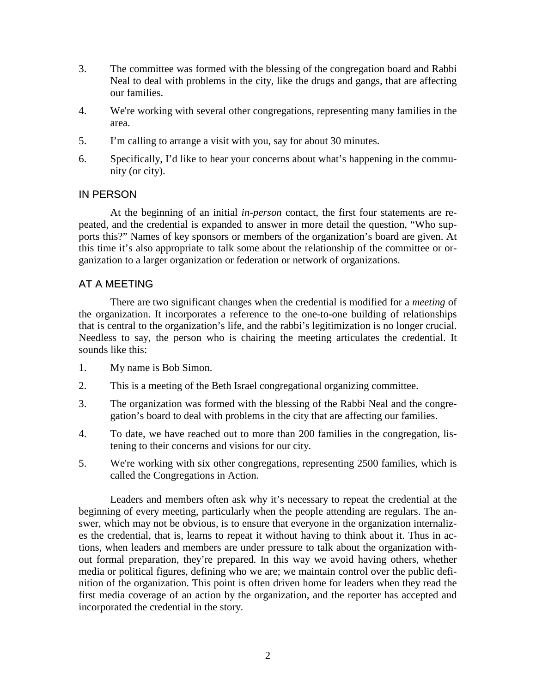- 3. The committee was formed with the blessing of the congregation board and Rabbi Neal to deal with problems in the city, like the drugs and gangs, that are affecting our families.
- 4. We're working with several other congregations, representing many families in the area.
- 5. I'm calling to arrange a visit with you, say for about 30 minutes.
- 6. Specifically, I'd like to hear your concerns about what's happening in the community (or city).

### IN PERSON

At the beginning of an initial *in-person* contact, the first four statements are repeated, and the credential is expanded to answer in more detail the question, "Who supports this?" Names of key sponsors or members of the organization's board are given. At this time it's also appropriate to talk some about the relationship of the committee or organization to a larger organization or federation or network of organizations.

### AT A MEETING

There are two significant changes when the credential is modified for a *meeting* of the organization. It incorporates a reference to the one-to-one building of relationships that is central to the organization's life, and the rabbi's legitimization is no longer crucial. Needless to say, the person who is chairing the meeting articulates the credential. It sounds like this:

- 1. My name is Bob Simon.
- 2. This is a meeting of the Beth Israel congregational organizing committee.
- 3. The organization was formed with the blessing of the Rabbi Neal and the congregation's board to deal with problems in the city that are affecting our families.
- 4. To date, we have reached out to more than 200 families in the congregation, listening to their concerns and visions for our city.
- 5. We're working with six other congregations, representing 2500 families, which is called the Congregations in Action.

Leaders and members often ask why it's necessary to repeat the credential at the beginning of every meeting, particularly when the people attending are regulars. The answer, which may not be obvious, is to ensure that everyone in the organization internalizes the credential, that is, learns to repeat it without having to think about it. Thus in actions, when leaders and members are under pressure to talk about the organization without formal preparation, they're prepared. In this way we avoid having others, whether media or political figures, defining who we are; we maintain control over the public definition of the organization. This point is often driven home for leaders when they read the first media coverage of an action by the organization, and the reporter has accepted and incorporated the credential in the story.